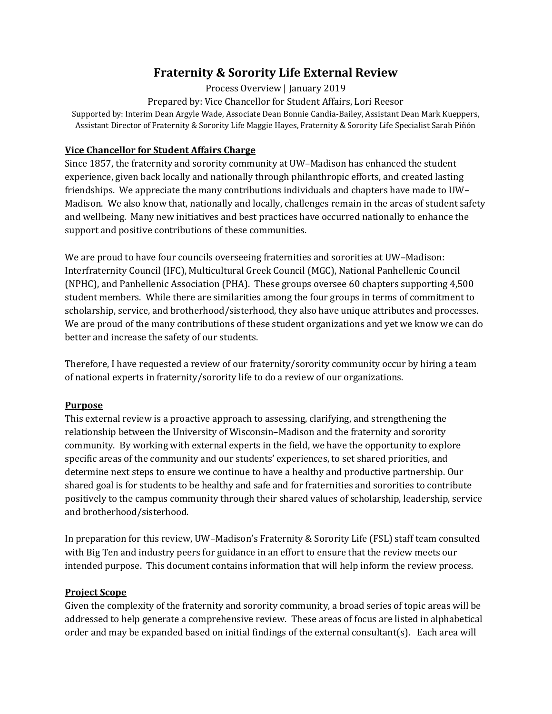# **Fraternity & Sorority Life External Review**

Process Overview | January 2019

Prepared by: Vice Chancellor for Student Affairs, Lori Reesor

Supported by: Interim Dean Argyle Wade, Associate Dean Bonnie Candia-Bailey, Assistant Dean Mark Kueppers, Assistant Director of Fraternity & Sorority Life Maggie Hayes, Fraternity & Sorority Life Specialist Sarah Piñón

# **Vice Chancellor for Student Affairs Charge**

Since 1857, the fraternity and sorority community at UW–Madison has enhanced the student experience, given back locally and nationally through philanthropic efforts, and created lasting friendships. We appreciate the many contributions individuals and chapters have made to UW– Madison. We also know that, nationally and locally, challenges remain in the areas of student safety and wellbeing. Many new initiatives and best practices have occurred nationally to enhance the support and positive contributions of these communities.

We are proud to have four councils overseeing fraternities and sororities at UW–Madison: Interfraternity Council (IFC), Multicultural Greek Council (MGC), National Panhellenic Council (NPHC), and Panhellenic Association (PHA). These groups oversee 60 chapters supporting 4,500 student members. While there are similarities among the four groups in terms of commitment to scholarship, service, and brotherhood/sisterhood, they also have unique attributes and processes. We are proud of the many contributions of these student organizations and yet we know we can do better and increase the safety of our students.

Therefore, I have requested a review of our fraternity/sorority community occur by hiring a team of national experts in fraternity/sorority life to do a review of our organizations.

# **Purpose**

This external review is a proactive approach to assessing, clarifying, and strengthening the relationship between the University of Wisconsin–Madison and the fraternity and sorority community. By working with external experts in the field, we have the opportunity to explore specific areas of the community and our students' experiences, to set shared priorities, and determine next steps to ensure we continue to have a healthy and productive partnership. Our shared goal is for students to be healthy and safe and for fraternities and sororities to contribute positively to the campus community through their shared values of scholarship, leadership, service and brotherhood/sisterhood.

In preparation for this review, UW–Madison's Fraternity & Sorority Life (FSL) staff team consulted with Big Ten and industry peers for guidance in an effort to ensure that the review meets our intended purpose. This document contains information that will help inform the review process.

# **Project Scope**

Given the complexity of the fraternity and sorority community, a broad series of topic areas will be addressed to help generate a comprehensive review. These areas of focus are listed in alphabetical order and may be expanded based on initial findings of the external consultant(s). Each area will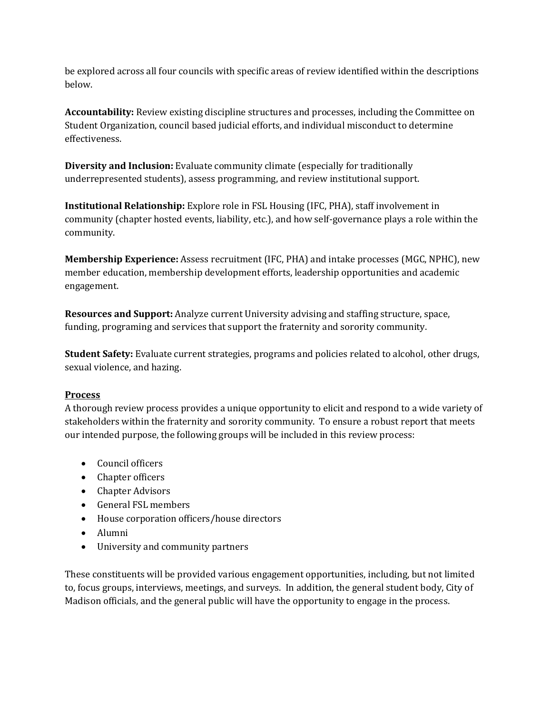be explored across all four councils with specific areas of review identified within the descriptions below.

**Accountability:** Review existing discipline structures and processes, including the Committee on Student Organization, council based judicial efforts, and individual misconduct to determine effectiveness.

**Diversity and Inclusion:** Evaluate community climate (especially for traditionally underrepresented students), assess programming, and review institutional support.

**Institutional Relationship:** Explore role in FSL Housing (IFC, PHA), staff involvement in community (chapter hosted events, liability, etc.), and how self-governance plays a role within the community.

**Membership Experience:** Assess recruitment (IFC, PHA) and intake processes (MGC, NPHC), new member education, membership development efforts, leadership opportunities and academic engagement.

**Resources and Support:** Analyze current University advising and staffing structure, space, funding, programing and services that support the fraternity and sorority community.

**Student Safety:** Evaluate current strategies, programs and policies related to alcohol, other drugs, sexual violence, and hazing.

# **Process**

A thorough review process provides a unique opportunity to elicit and respond to a wide variety of stakeholders within the fraternity and sorority community. To ensure a robust report that meets our intended purpose, the following groups will be included in this review process:

- Council officers
- Chapter officers
- Chapter Advisors
- General FSL members
- House corporation officers/house directors
- Alumni
- University and community partners

These constituents will be provided various engagement opportunities, including, but not limited to, focus groups, interviews, meetings, and surveys. In addition, the general student body, City of Madison officials, and the general public will have the opportunity to engage in the process.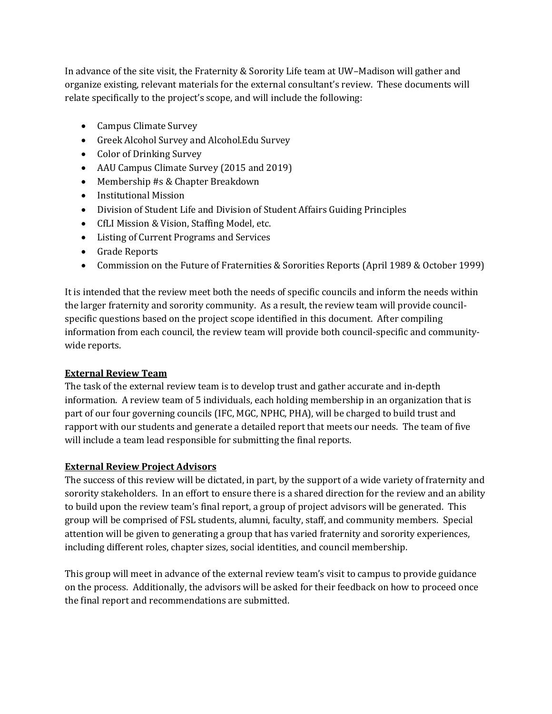In advance of the site visit, the Fraternity & Sorority Life team at UW–Madison will gather and organize existing, relevant materials for the external consultant's review. These documents will relate specifically to the project's scope, and will include the following:

- Campus Climate Survey
- Greek Alcohol Survey and Alcohol.Edu Survey
- Color of Drinking Survey
- AAU Campus Climate Survey (2015 and 2019)
- Membership #s & Chapter Breakdown
- Institutional Mission
- Division of Student Life and Division of Student Affairs Guiding Principles
- CfLI Mission & Vision, Staffing Model, etc.
- Listing of Current Programs and Services
- Grade Reports
- Commission on the Future of Fraternities & Sororities Reports (April 1989 & October 1999)

It is intended that the review meet both the needs of specific councils and inform the needs within the larger fraternity and sorority community. As a result, the review team will provide councilspecific questions based on the project scope identified in this document. After compiling information from each council, the review team will provide both council-specific and communitywide reports.

#### **External Review Team**

The task of the external review team is to develop trust and gather accurate and in-depth information. A review team of 5 individuals, each holding membership in an organization that is part of our four governing councils (IFC, MGC, NPHC, PHA), will be charged to build trust and rapport with our students and generate a detailed report that meets our needs. The team of five will include a team lead responsible for submitting the final reports.

# **External Review Project Advisors**

The success of this review will be dictated, in part, by the support of a wide variety of fraternity and sorority stakeholders. In an effort to ensure there is a shared direction for the review and an ability to build upon the review team's final report, a group of project advisors will be generated. This group will be comprised of FSL students, alumni, faculty, staff, and community members. Special attention will be given to generating a group that has varied fraternity and sorority experiences, including different roles, chapter sizes, social identities, and council membership.

This group will meet in advance of the external review team's visit to campus to provide guidance on the process. Additionally, the advisors will be asked for their feedback on how to proceed once the final report and recommendations are submitted.